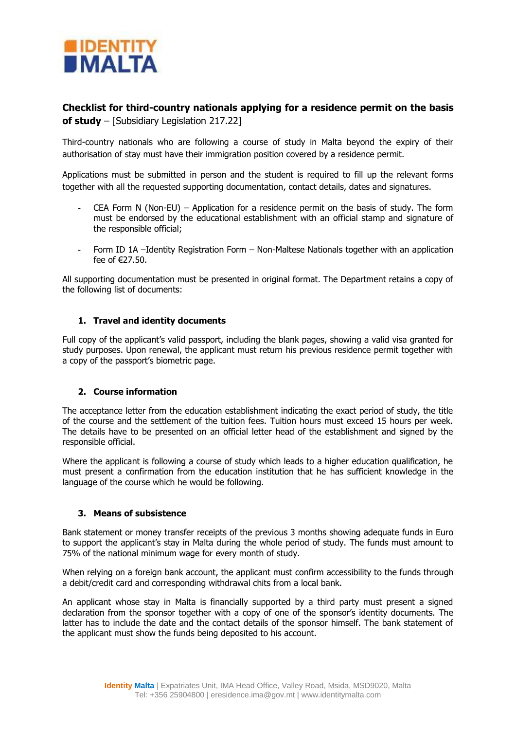

# **Checklist for third-country nationals applying for a residence permit on the basis of study** – [Subsidiary Legislation 217.22]

Third-country nationals who are following a course of study in Malta beyond the expiry of their authorisation of stay must have their immigration position covered by a residence permit.

Applications must be submitted in person and the student is required to fill up the relevant forms together with all the requested supporting documentation, contact details, dates and signatures.

- CEA Form N (Non-EU) Application for a residence permit on the basis of study. The form must be endorsed by the educational establishment with an official stamp and signature of the responsible official;
- Form ID 1A –Identity Registration Form Non-Maltese Nationals together with an application fee of €27.50.

All supporting documentation must be presented in original format. The Department retains a copy of the following list of documents:

## **1. Travel and identity documents**

Full copy of the applicant's valid passport, including the blank pages, showing a valid visa granted for study purposes. Upon renewal, the applicant must return his previous residence permit together with a copy of the passport's biometric page.

## **2. Course information**

The acceptance letter from the education establishment indicating the exact period of study, the title of the course and the settlement of the tuition fees. Tuition hours must exceed 15 hours per week. The details have to be presented on an official letter head of the establishment and signed by the responsible official.

Where the applicant is following a course of study which leads to a higher education qualification, he must present a confirmation from the education institution that he has sufficient knowledge in the language of the course which he would be following.

## **3. Means of subsistence**

Bank statement or money transfer receipts of the previous 3 months showing adequate funds in Euro to support the applicant's stay in Malta during the whole period of study. The funds must amount to 75% of the national minimum wage for every month of study.

When relying on a foreign bank account, the applicant must confirm accessibility to the funds through a debit/credit card and corresponding withdrawal chits from a local bank.

An applicant whose stay in Malta is financially supported by a third party must present a signed declaration from the sponsor together with a copy of one of the sponsor's identity documents. The latter has to include the date and the contact details of the sponsor himself. The bank statement of the applicant must show the funds being deposited to his account.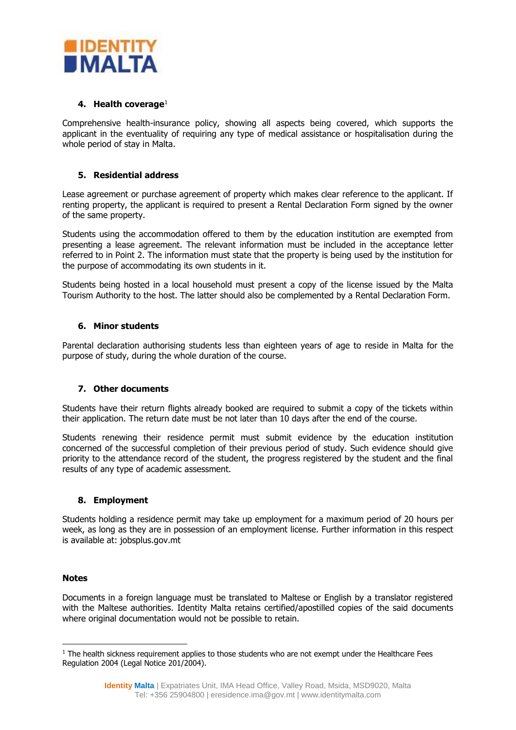

## **4. Health coverage**<sup>1</sup>

Comprehensive health-insurance policy, showing all aspects being covered, which supports the applicant in the eventuality of requiring any type of medical assistance or hospitalisation during the whole period of stay in Malta.

## **5. Residential address**

Lease agreement or purchase agreement of property which makes clear reference to the applicant. If renting property, the applicant is required to present a Rental Declaration Form signed by the owner of the same property.

Students using the accommodation offered to them by the education institution are exempted from presenting a lease agreement. The relevant information must be included in the acceptance letter referred to in Point 2. The information must state that the property is being used by the institution for the purpose of accommodating its own students in it.

Students being hosted in a local household must present a copy of the license issued by the Malta Tourism Authority to the host. The latter should also be complemented by a Rental Declaration Form.

## **6. Minor students**

Parental declaration authorising students less than eighteen years of age to reside in Malta for the purpose of study, during the whole duration of the course.

## **7. Other documents**

Students have their return flights already booked are required to submit a copy of the tickets within their application. The return date must be not later than 10 days after the end of the course.

Students renewing their residence permit must submit evidence by the education institution concerned of the successful completion of their previous period of study. Such evidence should give priority to the attendance record of the student, the progress registered by the student and the final results of any type of academic assessment.

## **8. Employment**

Students holding a residence permit may take up employment for a maximum period of 20 hours per week, as long as they are in possession of an employment license. Further information in this respect is available at: jobsplus.gov.mt

## **Notes**

 $\overline{a}$ 

Documents in a foreign language must be translated to Maltese or English by a translator registered with the Maltese authorities. Identity Malta retains certified/apostilled copies of the said documents where original documentation would not be possible to retain.

<sup>&</sup>lt;sup>1</sup> The health sickness requirement applies to those students who are not exempt under the Healthcare Fees Regulation 2004 (Legal Notice 201/2004).